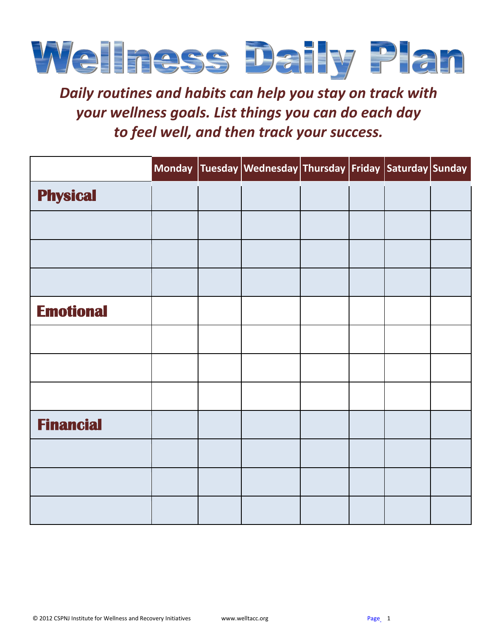

*Daily routines and habits can help you stay on track with your wellness goals. List things you can do each day to feel well, and then track your success.*

|                  |  | Monday Tuesday Wednesday Thursday Friday Saturday Sunday |  |  |
|------------------|--|----------------------------------------------------------|--|--|
| <b>Physical</b>  |  |                                                          |  |  |
|                  |  |                                                          |  |  |
|                  |  |                                                          |  |  |
|                  |  |                                                          |  |  |
| <b>Emotional</b> |  |                                                          |  |  |
|                  |  |                                                          |  |  |
|                  |  |                                                          |  |  |
|                  |  |                                                          |  |  |
| <b>Financial</b> |  |                                                          |  |  |
|                  |  |                                                          |  |  |
|                  |  |                                                          |  |  |
|                  |  |                                                          |  |  |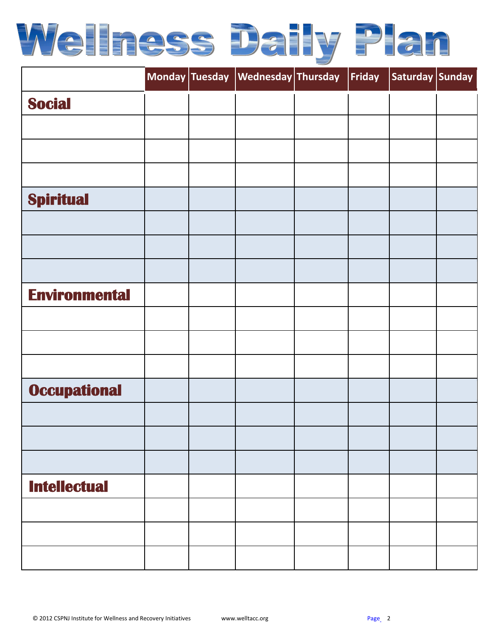

|                      |  | Monday Tuesday Wednesday Thursday | Friday | Saturday Sunday |  |
|----------------------|--|-----------------------------------|--------|-----------------|--|
| <b>Social</b>        |  |                                   |        |                 |  |
|                      |  |                                   |        |                 |  |
|                      |  |                                   |        |                 |  |
|                      |  |                                   |        |                 |  |
| <b>Spiritual</b>     |  |                                   |        |                 |  |
|                      |  |                                   |        |                 |  |
|                      |  |                                   |        |                 |  |
|                      |  |                                   |        |                 |  |
| <b>Environmental</b> |  |                                   |        |                 |  |
|                      |  |                                   |        |                 |  |
|                      |  |                                   |        |                 |  |
|                      |  |                                   |        |                 |  |
| <b>Occupational</b>  |  |                                   |        |                 |  |
|                      |  |                                   |        |                 |  |
|                      |  |                                   |        |                 |  |
|                      |  |                                   |        |                 |  |
| <b>Intellectual</b>  |  |                                   |        |                 |  |
|                      |  |                                   |        |                 |  |
|                      |  |                                   |        |                 |  |
|                      |  |                                   |        |                 |  |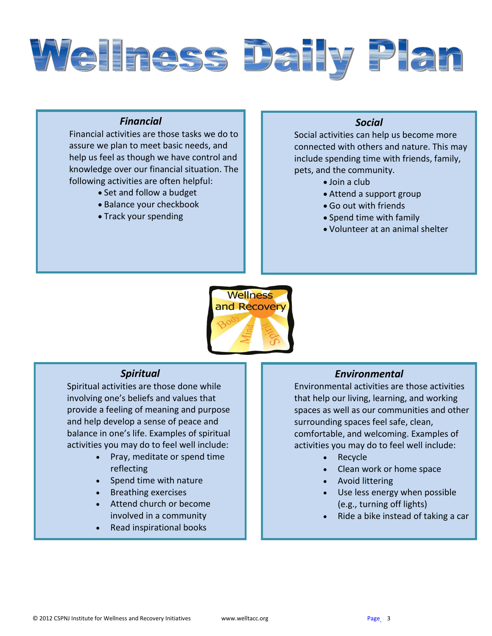

## *Financial*

Financial activities are those tasks we do to assure we plan to meet basic needs, and help us feel as though we have control and knowledge over our financial situation. The following activities are often helpful:

- Set and follow a budget
- Balance your checkbook
- Track your spending

## *Social*

Social activities can help us become more connected with others and nature. This may include spending time with friends, family, pets, and the community.

- Join a club
	- Attend a support group
	- Go out with friends
	- Spend time with family
	- Volunteer at an animal shelter



### *Spiritual*

Spiritual activities are those done while involving one's beliefs and values that provide a feeling of meaning and purpose and help develop a sense of peace and balance in one's life. Examples of spiritual activities you may do to feel well include:

- Pray, meditate or spend time reflecting
- Spend time with nature
- Breathing exercises
- Attend church or become involved in a community
- Read inspirational books

### *Environmental*

Environmental activities are those activities that help our living, learning, and working spaces as well as our communities and other surrounding spaces feel safe, clean, comfortable, and welcoming. Examples of activities you may do to feel well include:

- Recycle
- Clean work or home space
- Avoid littering
- Use less energy when possible (e.g., turning off lights)
- Ride a bike instead of taking a car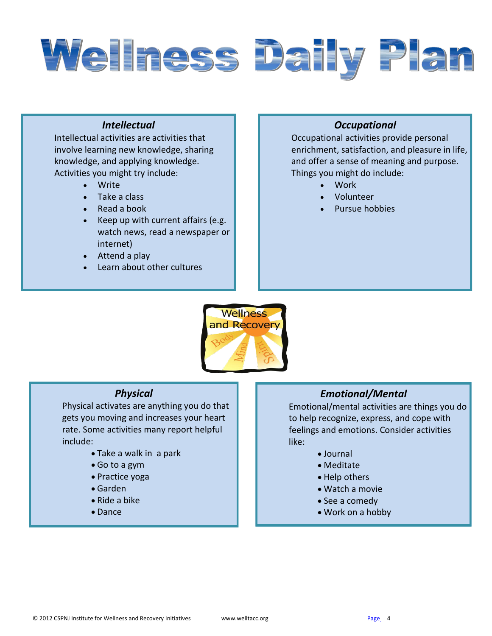

# *Intellectual*

Intellectual activities are activities that involve learning new knowledge, sharing knowledge, and applying knowledge. Activities you might try include:

- Write
- Take a class
- Read a book
- Keep up with current affairs (e.g. watch news, read a newspaper or internet)
- Attend a play
- Learn about other cultures

## *Occupational*

Occupational activities provide personal enrichment, satisfaction, and pleasure in life, and offer a sense of meaning and purpose. Things you might do include:

- Work
- Volunteer
- Pursue hobbies



### *Physical*

Physical activates are anything you do that gets you moving and increases your heart rate. Some activities many report helpful include:

- Take a walk in a park
- Go to a gym
- Practice yoga
- Garden
- Ride a bike
- Dance

### *Emotional/Mental*

Emotional/mental activities are things you do to help recognize, express, and cope with feelings and emotions. Consider activities like:

- Journal
- Meditate
- Help others
- Watch a movie
- See a comedy
- Work on a hobby